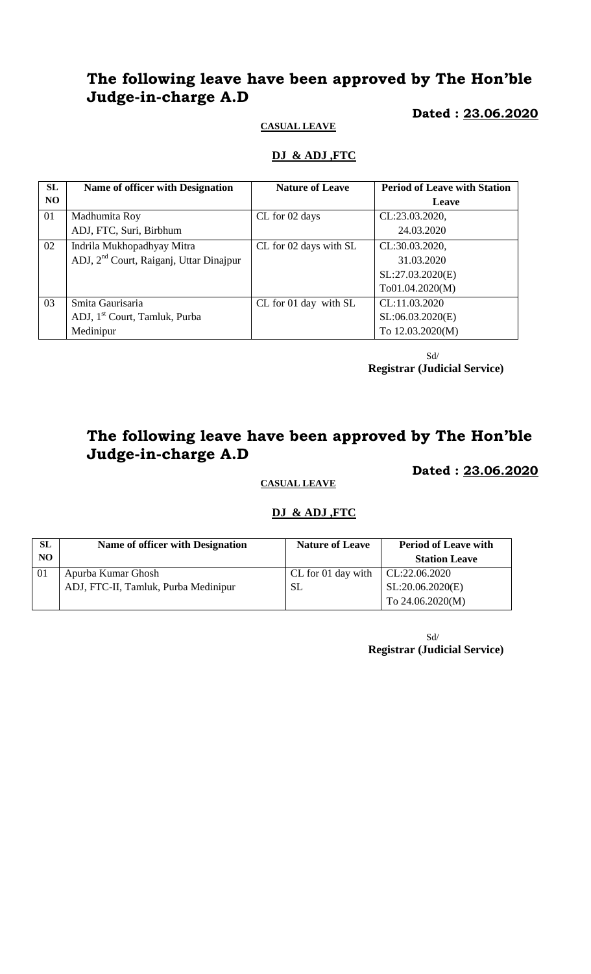# **The following leave have been approved by The Hon'ble Judge-in-charge A.D**

#### **Dated : 23.06.2020**

#### **CASUAL LEAVE**

### **DJ & ADJ ,FTC**

| <b>SL</b> | Name of officer with Designation                    | <b>Nature of Leave</b> | <b>Period of Leave with Station</b> |
|-----------|-----------------------------------------------------|------------------------|-------------------------------------|
| NO.       |                                                     |                        | Leave                               |
| 01        | Madhumita Roy                                       | CL for 02 days         | CL:23.03.2020,                      |
|           | ADJ, FTC, Suri, Birbhum                             |                        | 24.03.2020                          |
| 02        | Indrila Mukhopadhyay Mitra                          | CL for 02 days with SL | CL:30.03.2020,                      |
|           | ADJ, 2 <sup>nd</sup> Court, Raiganj, Uttar Dinajpur |                        | 31.03.2020                          |
|           |                                                     |                        | SL:27.03.2020(E)                    |
|           |                                                     |                        | To01.04.2020(M)                     |
| 03        | Smita Gaurisaria                                    | CL for 01 day with SL  | CL:11.03.2020                       |
|           | ADJ, 1 <sup>st</sup> Court, Tamluk, Purba           |                        | SL:06.03.2020(E)                    |
|           | Medinipur                                           |                        | To 12.03.2020(M)                    |

 Sd/ **Registrar (Judicial Service)**

# **The following leave have been approved by The Hon'ble Judge-in-charge A.D**

 **Dated : 23.06.2020**

## **CASUAL LEAVE**

#### **DJ & ADJ ,FTC**

| <b>SL</b><br>N <sub>O</sub> | Name of officer with Designation     | <b>Nature of Leave</b> | <b>Period of Leave with</b><br><b>Station Leave</b> |
|-----------------------------|--------------------------------------|------------------------|-----------------------------------------------------|
| 01                          | Apurba Kumar Ghosh                   | CL for 01 day with     | CL:22.06.2020                                       |
|                             | ADJ, FTC-II, Tamluk, Purba Medinipur | <b>SL</b>              | SL:20.06.2020(E)                                    |
|                             |                                      |                        | To 24.06.2020(M)                                    |

 Sd/ **Registrar (Judicial Service)**